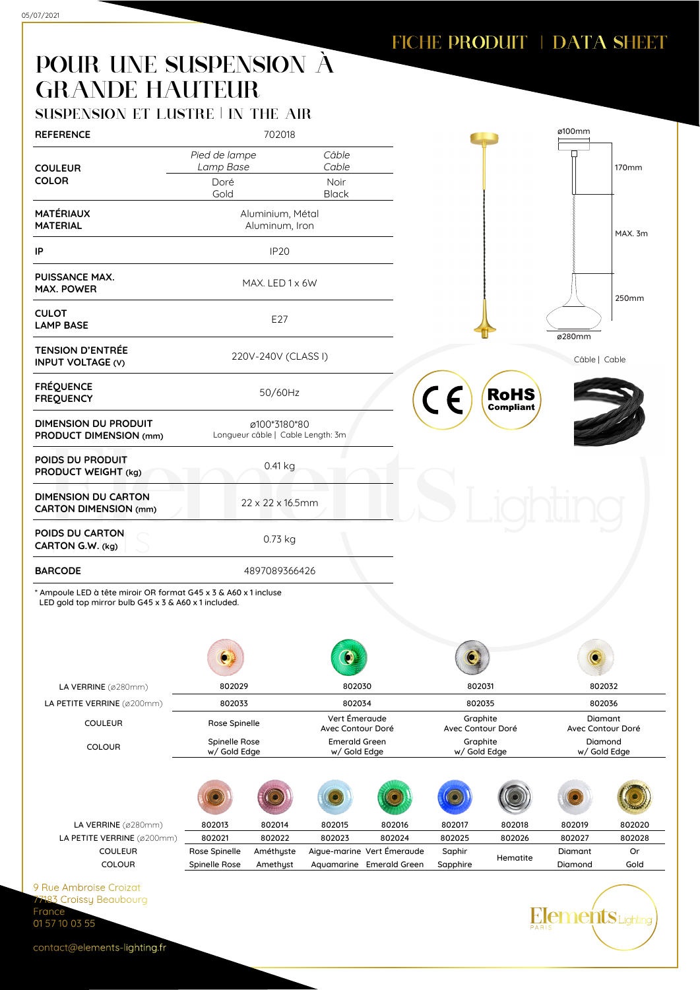## FICHE PRODUIT | DATA SHEET

## POUR UNE SUSPENSION À GRANDE HAUTEUR

| <b>REFERENCE</b>                                                                                                        | 702018                             |                                                   |                                      |                            |                          |                                 | ø100mm                  |              |
|-------------------------------------------------------------------------------------------------------------------------|------------------------------------|---------------------------------------------------|--------------------------------------|----------------------------|--------------------------|---------------------------------|-------------------------|--------------|
|                                                                                                                         | Pied de lampe                      |                                                   | Câble                                |                            |                          |                                 |                         |              |
| <b>COULEUR</b>                                                                                                          | Lamp Base                          |                                                   | Cable                                |                            |                          |                                 |                         | <b>170mm</b> |
| <b>COLOR</b>                                                                                                            | Doré<br>Gold                       |                                                   | Noir<br><b>Black</b>                 |                            |                          |                                 |                         |              |
|                                                                                                                         |                                    |                                                   |                                      |                            |                          |                                 |                         |              |
| <b>MATÉRIAUX</b><br><b>MATERIAL</b>                                                                                     | Aluminium, Métal<br>Aluminum, Iron |                                                   |                                      |                            |                          |                                 |                         |              |
|                                                                                                                         |                                    |                                                   |                                      |                            |                          |                                 |                         | MAX. 3m      |
| IP                                                                                                                      | IP <sub>20</sub>                   |                                                   |                                      |                            |                          |                                 |                         |              |
| <b>PUISSANCE MAX.</b><br><b>MAX. POWER</b>                                                                              |                                    | MAX. LED 1 x 6W                                   |                                      |                            |                          |                                 |                         | 250mm        |
| <b>CULOT</b><br><b>LAMP BASE</b>                                                                                        | E27                                |                                                   |                                      |                            |                          |                                 | ø280mm                  |              |
| <b>TENSION D'ENTRÉE</b><br><b>INPUT VOLTAGE (V)</b>                                                                     |                                    | 220V-240V (CLASS I)                               |                                      |                            |                          |                                 | Câble   Cable           |              |
| <b>FRÉQUENCE</b><br><b>FREQUENCY</b>                                                                                    |                                    | 50/60Hz                                           |                                      |                            | CE                       | <b>RoHS</b><br><b>Compliant</b> |                         |              |
| <b>DIMENSION DU PRODUIT</b><br>PRODUCT DIMENSION (mm)                                                                   |                                    | ø100*3180*80<br>Longueur câble   Cable Length: 3m |                                      |                            |                          |                                 |                         |              |
| POIDS DU PRODUIT<br>PRODUCT WEIGHT (kg)                                                                                 | 0.41 kg                            |                                                   |                                      |                            |                          |                                 |                         |              |
| <b>DIMENSION DU CARTON</b><br><b>CARTON DIMENSION (mm)</b>                                                              | 22 x 22 x 16.5mm                   |                                                   |                                      |                            |                          |                                 |                         |              |
| POIDS DU CARTON<br>CARTON G.W. (kg)                                                                                     |                                    | 0.73 kg                                           |                                      |                            |                          |                                 |                         |              |
| <b>BARCODE</b>                                                                                                          | 4897089366426                      |                                                   |                                      |                            |                          |                                 |                         |              |
| * Ampoule LED à tête miroir OR format G45 x 3 & A60 x 1 incluse<br>LED gold top mirror bulb G45 x 3 & A60 x 1 included. |                                    |                                                   |                                      |                            |                          |                                 |                         |              |
|                                                                                                                         |                                    |                                                   |                                      |                            |                          |                                 |                         |              |
|                                                                                                                         |                                    |                                                   |                                      |                            |                          |                                 |                         |              |
| LA VERRINE (ø280mm)                                                                                                     | 802029                             |                                                   | 802030                               |                            | 802031                   |                                 | 802032                  |              |
| LA PETITE VERRINE (ø200mm)                                                                                              | 802033                             |                                                   | 802034<br>Vert Émeraude              |                            | 802035<br>Graphite       |                                 | 802036<br>Diamant       |              |
| <b>COULEUR</b>                                                                                                          | Rose Spinelle                      |                                                   | Avec Contour Doré                    |                            | Avec Contour Doré        |                                 | Avec Contour Doré       |              |
| COLOUR                                                                                                                  | Spinelle Rose<br>w/ Gold Edge      |                                                   | <b>Emerald Green</b><br>w/ Gold Edge |                            | Graphite<br>w/ Gold Edge |                                 | Diamond<br>w/ Gold Edge |              |
|                                                                                                                         |                                    |                                                   |                                      |                            |                          |                                 |                         |              |
| LA VERRINE (ø280mm)                                                                                                     | 802013                             | 802014                                            | 802015                               | 802016                     | 802017                   | 802018                          | 802019                  | 802020       |
| LA PETITE VERRINE (ø200mm)                                                                                              | 802021                             | 802022                                            | 802023                               | 802024                     | 802025                   | 802026                          | 802027                  | 802028       |
| COULEUR                                                                                                                 | Rose Spinelle                      | Améthyste                                         |                                      | Aigue-marine Vert Émeraude | Saphir                   | Hematite                        | Diamant                 | Or           |
| <b>COLOUR</b>                                                                                                           | Spinelle Rose                      | Amethyst                                          |                                      | Aquamarine Emerald Green   | Sapphire                 |                                 | Diamond                 | Gold         |
|                                                                                                                         |                                    |                                                   |                                      |                            |                          |                                 |                         |              |
| 9 Rue Ambroise Croizat<br>7183 Croissy Beaubourg<br>France                                                              |                                    |                                                   |                                      |                            |                          |                                 | <b>ements</b> Lighting  |              |

contact@elements-lighting.fr